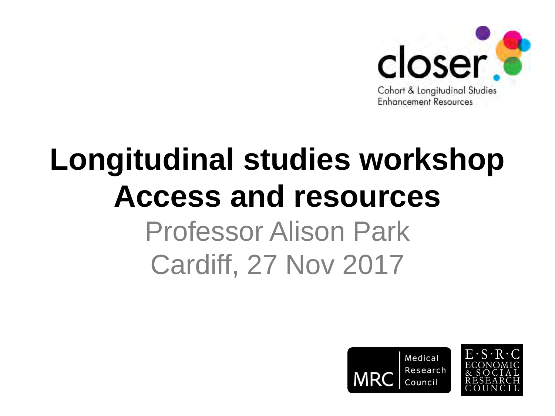

### **Longitudinal studies workshop Access and resources** Professor Alison Park Cardiff, 27 Nov 2017



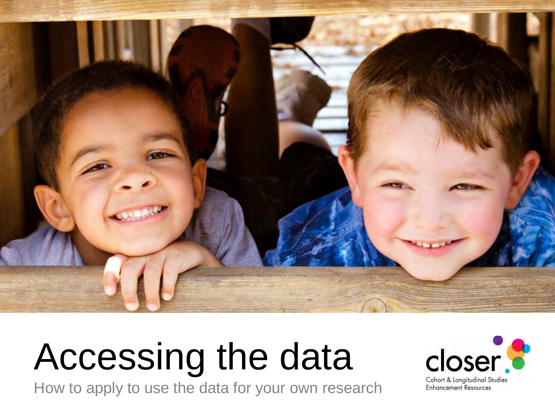

## Accessing the data

How to apply to use the data for your own research

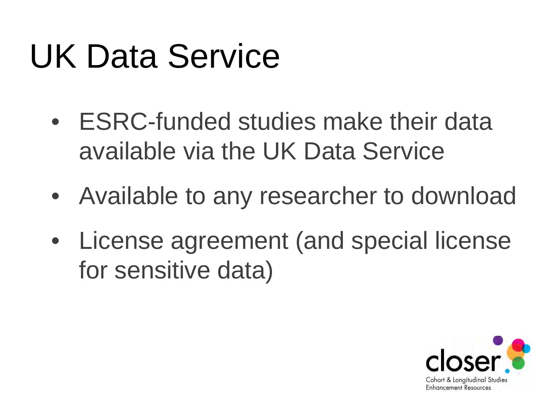## UK Data Service

- ESRC-funded studies make their data available via the UK Data Service
- Available to any researcher to download
- License agreement (and special license for sensitive data)

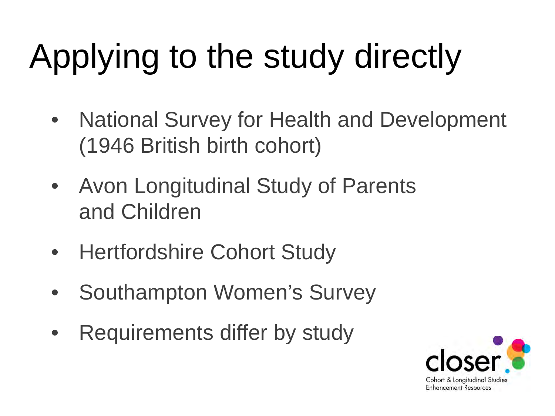## Applying to the study directly

- National Survey for Health and Development (1946 British birth cohort)
- Avon Longitudinal Study of Parents and Children
- Hertfordshire Cohort Study
- Southampton Women's Survey
- Requirements differ by study

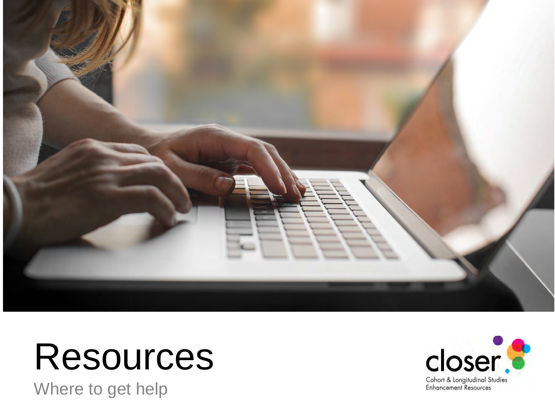

### Resources

Where to get help

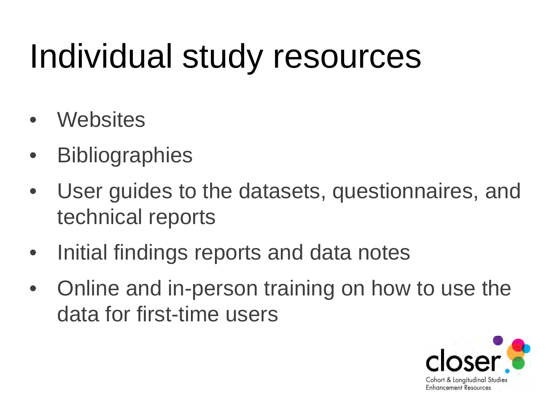## Individual study resources

- **Websites**
- **Bibliographies**
- User guides to the datasets, questionnaires, and technical reports
- Initial findings reports and data notes
- Online and in-person training on how to use the data for first-time users

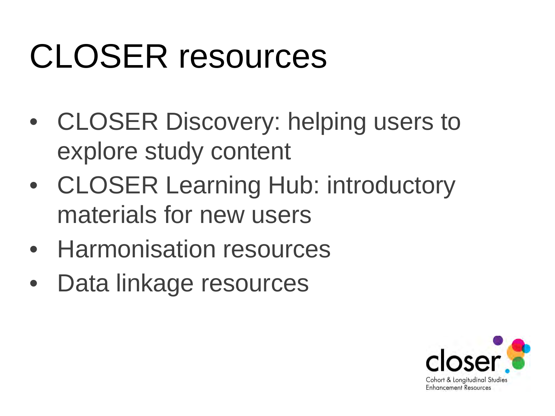## CLOSER resources

- CLOSER Discovery: helping users to explore study content
- CLOSER Learning Hub: introductory materials for new users
- Harmonisation resources
- Data linkage resources

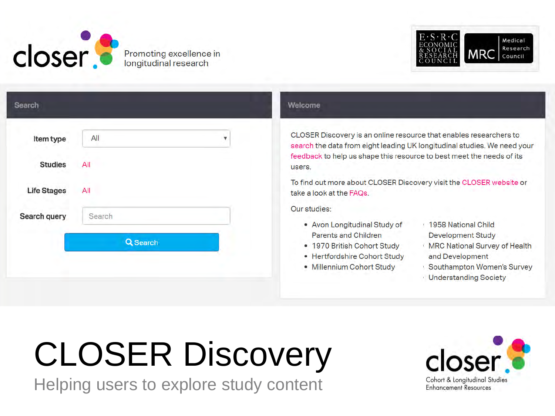

Promoting excellence in longitudinal research



| Item type          | All      | $\overline{\mathbf{v}}$ |
|--------------------|----------|-------------------------|
| <b>Studies</b>     | All      |                         |
| <b>Life Stages</b> | All      |                         |
| Search query       | Search   |                         |
|                    | Q Search |                         |

#### Welcome

CLOSER Discovery is an online resource that enables researchers to search the data from eight leading UK longitudinal studies. We need your feedback to help us shape this resource to best meet the needs of its users.

To find out more about CLOSER Discovery visit the CLOSER website or take a look at the FAQs.

Our studies:

- · Avon Longitudinal Study of Parents and Children
- · 1970 British Cohort Study
- · Hertfordshire Cohort Study
- · Millennium Cohort Study
- 1958 National Child **Development Study**
- MRC National Survey of Health and Development
- Southampton Women's Survey
- **Understanding Society**

## **CLOSER Discovery**

Helping users to explore study content

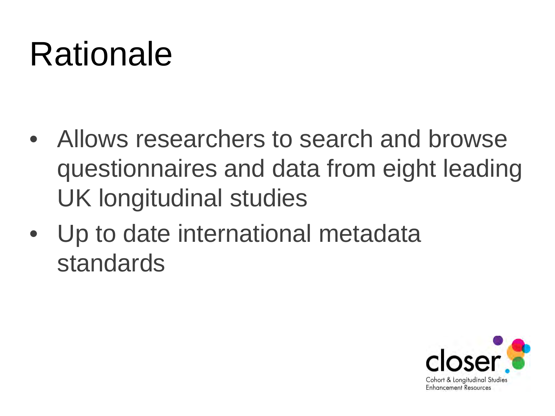## Rationale

- Allows researchers to search and browse questionnaires and data from eight leading UK longitudinal studies
- Up to date international metadata standards

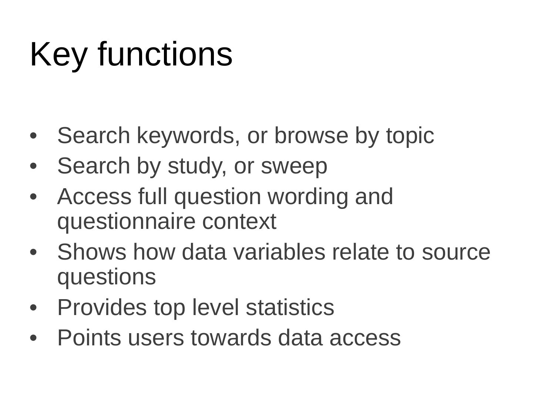## Key functions

- Search keywords, or browse by topic
- Search by study, or sweep
- Access full question wording and questionnaire context
- Shows how data variables relate to source questions
- Provides top level statistics
- Points users towards data access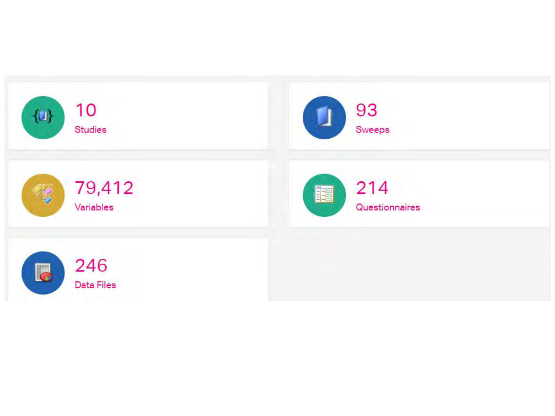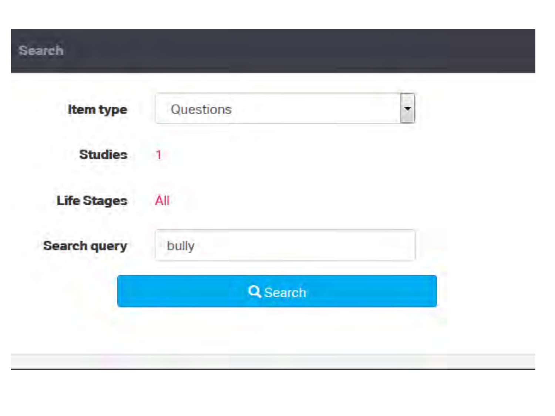### Search

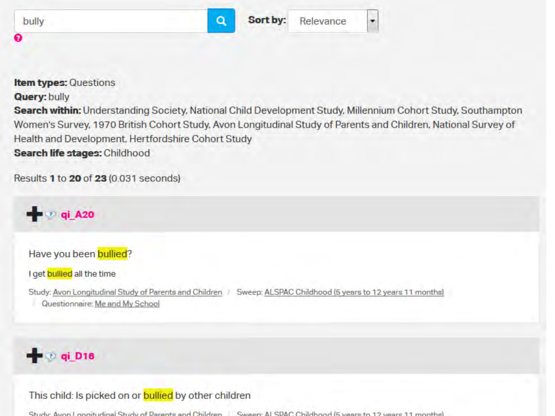|   | $\Omega$ | Sort by: | Relevance |  |
|---|----------|----------|-----------|--|
| € |          |          |           |  |

#### **Item types: Questions**

#### **Query: bully**

Search within: Understanding Society, National Child Development Study, Millennium Cohort Study, Southampton Women's Survey, 1970 British Cohort Study, Avon Longitudinal Study of Parents and Children, National Survey of Health and Development, Hertfordshire Cohort Study Search life stages: Childhood

Results 1 to 20 of 23 (0.031 seconds)



Have you been bullied?

I get bullied all the time

Study: Avon Longitudinal Study of Parents and Children / Sweep: ALSPAC Childhood (5 years to 12 years 11 months) Questionnaire: Me and My School

### $q$   $q$ i D16

This child: Is picked on or **bullied** by other children

Study: Aven Longituding Study of Decepts and Children Sweep; ALSDAC Childhood (Events to 12 years 11 months)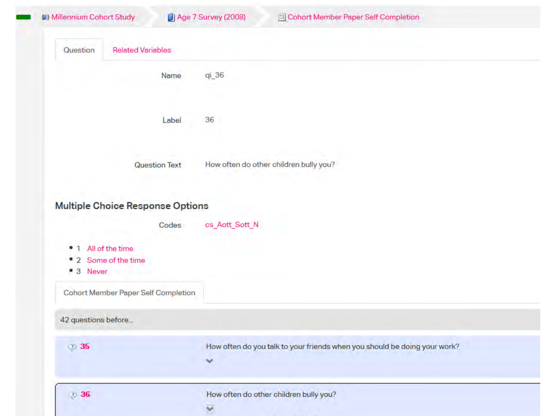| (a) Millennium Cohort Study                              | <b>J</b> Age 7 Survey (2008) | <b>El Cohort Member Paper Self Completion</b>                             |
|----------------------------------------------------------|------------------------------|---------------------------------------------------------------------------|
| <b>Related Variables</b><br>Question                     |                              |                                                                           |
|                                                          | qi_36<br>Name                |                                                                           |
|                                                          | 36<br>Label                  |                                                                           |
|                                                          | <b>Question Text</b>         | How often do other children bully you?                                    |
| <b>Multiple Choice Response Options</b>                  | cs_Aott_Sott_N<br>Codes      |                                                                           |
| • 1 All of the time<br>• 2 Some of the time<br>• 3 Never |                              |                                                                           |
| Cohort Member Paper Self Completion                      |                              |                                                                           |
| 42 questions before                                      |                              |                                                                           |
| 2 35                                                     | v                            | How often do you talk to your friends when you should be doing your work? |
|                                                          |                              |                                                                           |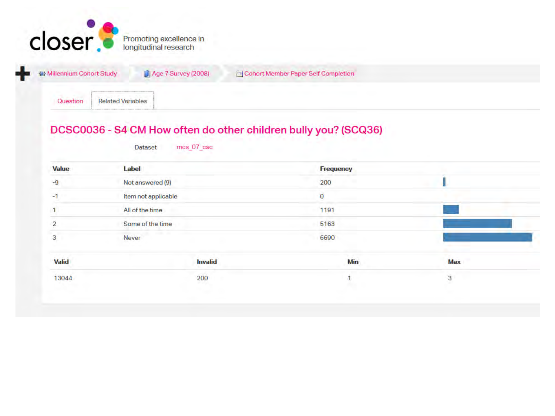

| <b>W</b> Millennium Cohort Study            | <b>J Age 7 Survey (2008)</b> | Cohort Member Paper Self Completion |  |
|---------------------------------------------|------------------------------|-------------------------------------|--|
| <b>Question</b><br><b>Related Variables</b> |                              |                                     |  |

#### DCSC0036 - S4 CM How often do other children bully you? (SCQ36)

| <b>Value</b>   | Label               | <b>Frequency</b> |            |  |
|----------------|---------------------|------------------|------------|--|
| $-9$           | Not answered (9)    | 200              |            |  |
| $-1$           | Item not applicable | $\mathbf 0$      |            |  |
|                | All of the time     | 1191             |            |  |
| $\overline{2}$ | Some of the time    | 5163             |            |  |
| 3              | Never               | 6690             |            |  |
| Valid          | <b>Invalid</b>      | Min              | <b>Max</b> |  |
| 13044          | 200                 |                  | 3          |  |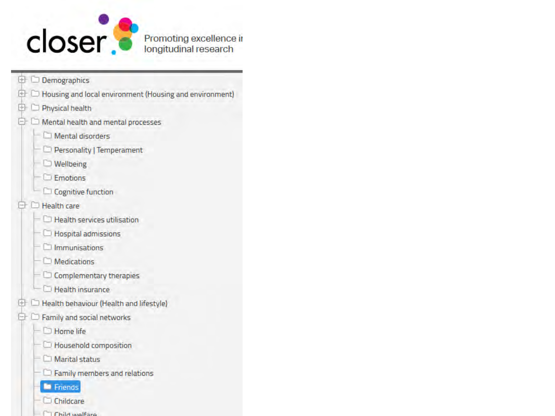

- Demographics  $+$
- $\Box$  Housing and local environment (Housing and environment)  $^{[+]}$
- Physical health  $[+]$
- Mental health and mental processes ٥
	- Mental disorders
	- Personality | Temperament
	- **Wellbeing**
	- $E$  Emotions
	- Cognitive function
- Health care
	- $\Box$  Health services utilisation
	- **Hospital admissions**
	- **Immunisations**
	- **Medications**
	- Complementary therapies
	- Health insurance
- Health behaviour (Health and lifestyle)  $[+]$
- Family and social networks
	- Home life
	- Household composition
	- Marital status
	- $\Box$  Family members and relations
	- **E** Friends
	- Childcare
	- **El Childwalfare**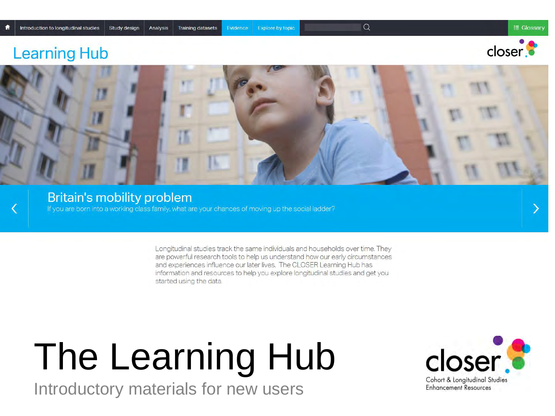$\alpha$ 

### **Learning Hub**





#### **Britain's mobility problem** If you are born into a working class family, what are your chances of moving up the social ladder?

Longitudinal studies track the same individuals and households over time. They are powerful research tools to help us understand how our early circumstances and experiences influence our later lives. The CLOSER Learning Hub has information and resources to help you explore longitudinal studies and get you started using the data.

# The Learning Hub

Introductory materials for new users

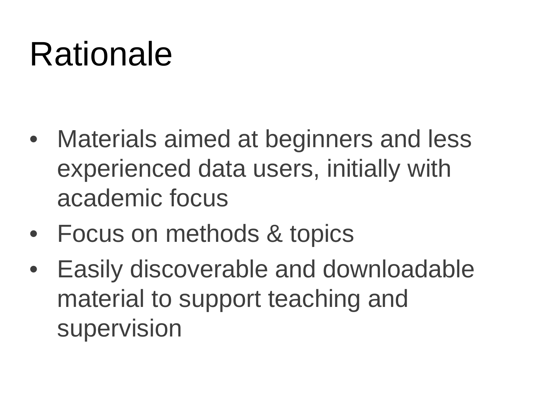## Rationale

- Materials aimed at beginners and less experienced data users, initially with academic focus
- Focus on methods & topics
- Easily discoverable and downloadable material to support teaching and supervision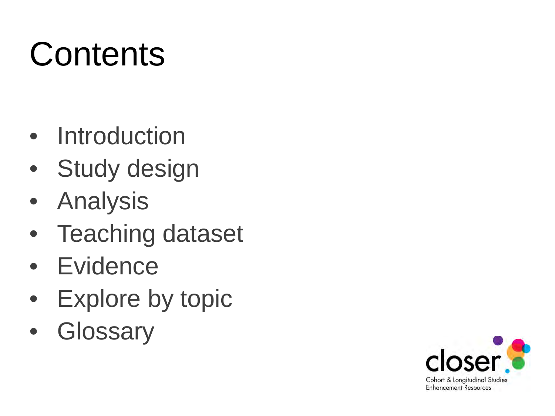## **Contents**

- Introduction
- Study design
- Analysis
- Teaching dataset
- Evidence
- Explore by topic
- Glossary

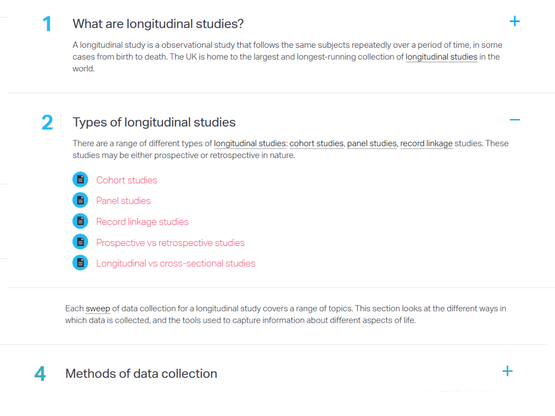### What are longitudinal studies?

A longitudinal study is a observational study that follows the same subjects repeatedly over a period of time, in some cases from birth to death. The UK is home to the largest and longest-running collection of longitudinal studies in the world.

#### 2 Types of longitudinal studies

There are a range of different types of longitudinal studies: cohort studies, panel studies, record linkage studies. These studies may be either prospective or retrospective in nature.

- Cohort studies
- Panel studies
- Record linkage studies
- Prospective vs retrospective studies
- Longitudinal vs cross-sectional studies

Each sweep of data collection for a longitudinal study covers a range of topics. This section looks at the different ways in which data is collected, and the tools used to capture information about different aspects of life.

### Methods of data collection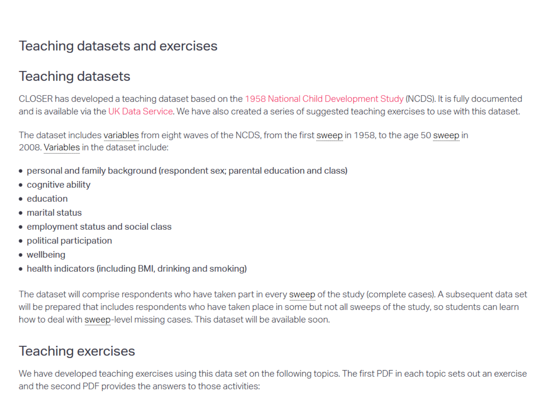### Teaching datasets and exercises

### Teaching datasets

CLOSER has developed a teaching dataset based on the 1958 National Child Development Study (NCDS). It is fully documented and is available via the UK Data Service. We have also created a series of suggested teaching exercises to use with this dataset.

The dataset includes variables from eight waves of the NCDS, from the first sweep in 1958, to the age 50 sweep in 2008. Variables in the dataset include:

- personal and family background (respondent sex; parental education and class)
- cognitive ability
- education
- marital status
- employment status and social class
- political participation
- wellbeing
- health indicators (including BMI, drinking and smoking)

The dataset will comprise respondents who have taken part in every sweep of the study (complete cases). A subsequent data set will be prepared that includes respondents who have taken place in some but not all sweeps of the study, so students can learn how to deal with sweep-level missing cases. This dataset will be available soon.

### **Teaching exercises**

We have developed teaching exercises using this data set on the following topics. The first PDF in each topic sets out an exercise and the second PDF provides the answers to those activities: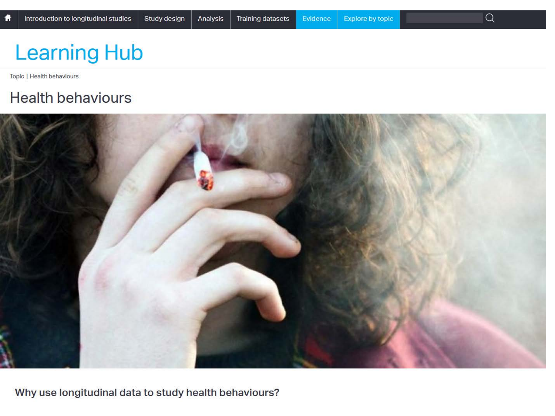### **Learning Hub**

Topic | Health behaviours

### **Health behaviours**



Why use longitudinal data to study health behaviours?